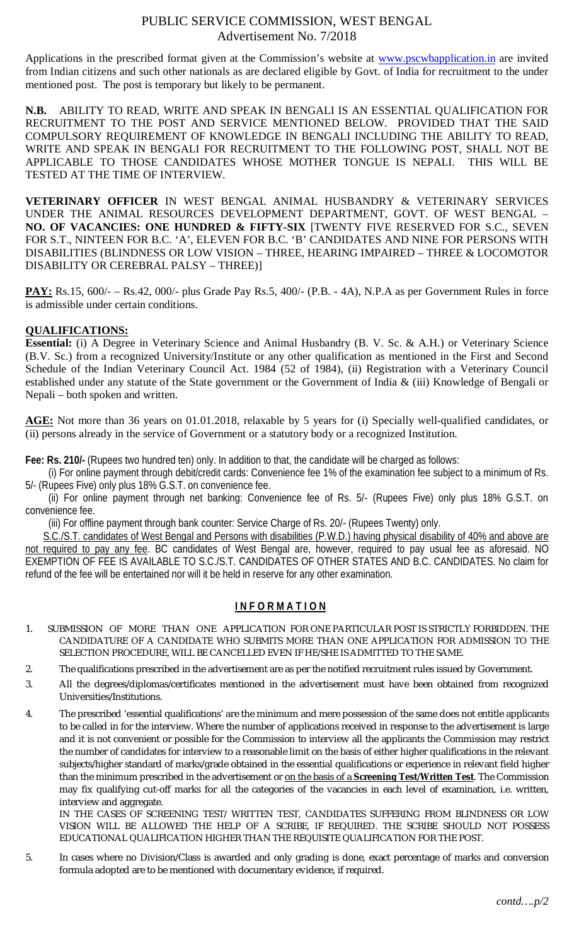# PUBLIC SERVICE COMMISSION, WEST BENGAL Advertisement No. 7/2018

Applications in the prescribed format given at the Commission's website at www.pscwbapplication.in are invited from Indian citizens and such other nationals as are declared eligible by Govt. of India for recruitment to the under mentioned post. The post is temporary but likely to be permanent.

**N.B.** ABILITY TO READ, WRITE AND SPEAK IN BENGALI IS AN ESSENTIAL QUALIFICATION FOR RECRUITMENT TO THE POST AND SERVICE MENTIONED BELOW. PROVIDED THAT THE SAID COMPULSORY REQUIREMENT OF KNOWLEDGE IN BENGALI INCLUDING THE ABILITY TO READ, WRITE AND SPEAK IN BENGALI FOR RECRUITMENT TO THE FOLLOWING POST, SHALL NOT BE APPLICABLE TO THOSE CANDIDATES WHOSE MOTHER TONGUE IS NEPALI. THIS WILL BE TESTED AT THE TIME OF INTERVIEW.

**VETERINARY OFFICER** IN WEST BENGAL ANIMAL HUSBANDRY & VETERINARY SERVICES UNDER THE ANIMAL RESOURCES DEVELOPMENT DEPARTMENT, GOVT. OF WEST BENGAL – **NO. OF VACANCIES: ONE HUNDRED & FIFTY-SIX** [TWENTY FIVE RESERVED FOR S.C., SEVEN FOR S.T., NINTEEN FOR B.C. 'A', ELEVEN FOR B.C. 'B' CANDIDATES AND NINE FOR PERSONS WITH DISABILITIES (BLINDNESS OR LOW VISION – THREE, HEARING IMPAIRED – THREE & LOCOMOTOR DISABILITY OR CEREBRAL PALSY – THREE)]

PAY: Rs.15, 600/- – Rs.42, 000/- plus Grade Pay Rs.5, 400/- (P.B. - 4A), N.P.A as per Government Rules in force is admissible under certain conditions.

## **QUALIFICATIONS:**

**Essential:** (i) A Degree in Veterinary Science and Animal Husbandry (B. V. Sc. & A.H.) or Veterinary Science (B.V. Sc.) from a recognized University/Institute or any other qualification as mentioned in the First and Second Schedule of the Indian Veterinary Council Act. 1984 (52 of 1984), (ii) Registration with a Veterinary Council established under any statute of the State government or the Government of India & (iii) Knowledge of Bengali or Nepali – both spoken and written.

**AGE:** Not more than 36 years on 01.01.2018, relaxable by 5 years for (i) Specially well-qualified candidates, or (ii) persons already in the service of Government or a statutory body or a recognized Institution.

**Fee: Rs. 210/-** (Rupees two hundred ten) only. In addition to that, the candidate will be charged as follows:

 (i) For online payment through debit/credit cards: Convenience fee 1% of the examination fee subject to a minimum of Rs. 5/- (Rupees Five) only plus 18% G.S.T. on convenience fee.

 (ii) For online payment through net banking: Convenience fee of Rs. 5/- (Rupees Five) only plus 18% G.S.T. on convenience fee.

(iii) For offline payment through bank counter: Service Charge of Rs. 20/- (Rupees Twenty) only.

 S.C./S.T. candidates of West Bengal and Persons with disabilities (P.W.D.) having physical disability of 40% and above are not required to pay any fee. BC candidates of West Bengal are, however, required to pay usual fee as aforesaid. NO EXEMPTION OF FEE IS AVAILABLE TO S.C./S.T. CANDIDATES OF OTHER STATES AND B.C. CANDIDATES. No claim for refund of the fee will be entertained nor will it be held in reserve for any other examination.

# **I N F O R M A T I O N**

- 1. SUBMISSION OF MORE THAN ONE APPLICATION FOR ONE PARTICULAR POST IS STRICTLY FORBIDDEN. THE CANDIDATURE OF A CANDIDATE WHO SUBMITS MORE THAN ONE APPLICATION FOR ADMISSION TO THE SELECTION PROCEDURE, WILL BE CANCELLED EVEN IF HE/SHE IS ADMITTED TO THE SAME.
- 2. The qualifications prescribed in the advertisement are as per the notified recruitment rules issued by Government.
- 3. All the degrees/diplomas/certificates mentioned in the advertisement must have been obtained from recognized Universities/Institutions.
- 4. The prescribed 'essential qualifications' are the minimum and mere possession of the same does not entitle applicants to be called in for the interview. Where the number of applications received in response to the advertisement is large and it is not convenient or possible for the Commission to interview all the applicants the Commission may restrict the number of candidates for interview to a reasonable limit on the basis of either higher qualifications in the relevant subjects/higher standard of marks/grade obtained in the essential qualifications or experience in relevant field higher than the minimum prescribed in the advertisement or on the basis of a **Screening Test**/**Written Test**. The Commission may fix qualifying cut-off marks for all the categories of the vacancies in each level of examination, i.e. written, interview and aggregate.

IN THE CASES OF SCREENING TEST/ WRITTEN TEST, CANDIDATES SUFFERING FROM BLINDNESS OR LOW VISION WILL BE ALLOWED THE HELP OF A SCRIBE, IF REQUIRED. THE SCRIBE SHOULD NOT POSSESS EDUCATIONAL QUALIFICATION HIGHER THAN THE REQUISITE QUALIFICATION FOR THE POST.

5. In cases where no Division/Class is awarded and only grading is done, exact percentage of marks and conversion formula adopted are to be mentioned with documentary evidence, if required.